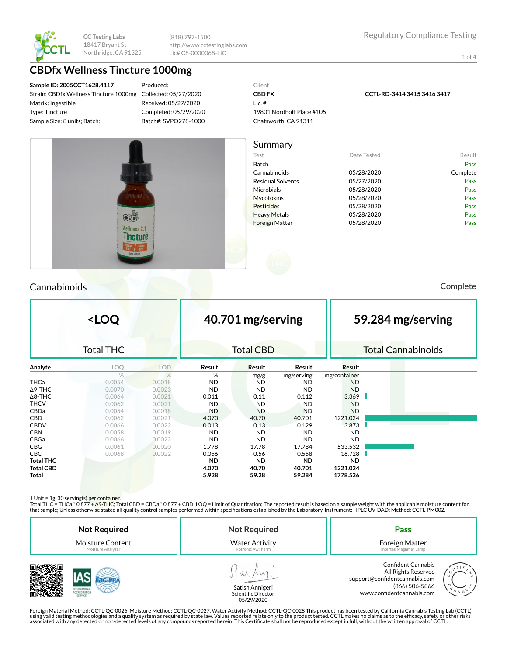

(818) 797-1500 http://www.cctestinglabs.com Lic# C8-0000068-LIC

1 of 4

## **CBDfx Wellness Tincture 1000mg**

**Sample ID: 2005CCT1628.4117** Strain: CBDfx Wellness Tincture 1000mg Matrix: Ingestible Type: Tincture Sample Size: 8 units; Batch:

Produced: Collected: 05/27/2020 Received: 05/27/2020 Completed: 05/29/2020 Batch#: SVPO278-1000



**CCTL-RD-3414 3415 3416 3417**



### Cannabinoids Complete

|                  | <loq< th=""><th></th><th colspan="2">40.701 mg/serving</th><th></th><th colspan="3">59.284 mg/serving</th></loq<> |            | 40.701 mg/serving |                  |            | 59.284 mg/serving |  |                           |  |
|------------------|-------------------------------------------------------------------------------------------------------------------|------------|-------------------|------------------|------------|-------------------|--|---------------------------|--|
|                  | <b>Total THC</b>                                                                                                  |            |                   | <b>Total CBD</b> |            |                   |  | <b>Total Cannabinoids</b> |  |
| Analyte          | LOQ                                                                                                               | <b>LOD</b> | Result            | <b>Result</b>    | Result     | Result            |  |                           |  |
|                  | $\frac{0}{0}$                                                                                                     | $\%$       | %                 | mg/g             | mg/serving | mg/container      |  |                           |  |
| <b>THCa</b>      | 0.0054                                                                                                            | 0.0018     | <b>ND</b>         | <b>ND</b>        | <b>ND</b>  | <b>ND</b>         |  |                           |  |
| $\Delta$ 9-THC   | 0.0070                                                                                                            | 0.0023     | <b>ND</b>         | <b>ND</b>        | <b>ND</b>  | <b>ND</b>         |  |                           |  |
| $\Delta$ 8-THC   | 0.0064                                                                                                            | 0.0021     | 0.011             | 0.11             | 0.112      | 3.369             |  |                           |  |
| <b>THCV</b>      | 0.0062                                                                                                            | 0.0021     | ND.               | <b>ND</b>        | <b>ND</b>  | <b>ND</b>         |  |                           |  |
| <b>CBDa</b>      | 0.0054                                                                                                            | 0.0018     | <b>ND</b>         | <b>ND</b>        | <b>ND</b>  | <b>ND</b>         |  |                           |  |
| <b>CBD</b>       | 0.0062                                                                                                            | 0.0021     | 4.070             | 40.70            | 40.701     | 1221.024          |  |                           |  |
| <b>CBDV</b>      | 0.0066                                                                                                            | 0.0022     | 0.013             | 0.13             | 0.129      | 3.873             |  |                           |  |
| <b>CBN</b>       | 0.0058                                                                                                            | 0.0019     | <b>ND</b>         | <b>ND</b>        | <b>ND</b>  | <b>ND</b>         |  |                           |  |
| CBGa             | 0.0066                                                                                                            | 0.0022     | <b>ND</b>         | <b>ND</b>        | <b>ND</b>  | <b>ND</b>         |  |                           |  |
| <b>CBG</b>       | 0.0061                                                                                                            | 0.0020     | 1.778             | 17.78            | 17.784     | 533.532           |  |                           |  |
| CBC              | 0.0068                                                                                                            | 0.0022     | 0.056             | 0.56             | 0.558      | 16.728            |  |                           |  |
| <b>Total THC</b> |                                                                                                                   |            | <b>ND</b>         | <b>ND</b>        | <b>ND</b>  | <b>ND</b>         |  |                           |  |
| <b>Total CBD</b> |                                                                                                                   |            | 4.070             | 40.70            | 40.701     | 1221.024          |  |                           |  |
| Total            |                                                                                                                   |            | 5.928             | 59.28            | 59.284     | 1778.526          |  |                           |  |

1 Unit = 1g. 30 serving(s) per container.

Total THC = THCa \* 0.877 + ∆9-THC; Total CBD = CBDa \* 0.877 + CBD; LOQ = Limit of Quantitation; The reported result is based on a sample weight with the applicable moisture content for that sample; Unless otherwise stated all quality control samples performed within specications established by the Laboratory. Instrument: HPLC UV-DAD; Method: CCTL-PM002.

| <b>Not Required</b>     | <b>Not Required</b>                    | Pass                                                                                                                                                   |
|-------------------------|----------------------------------------|--------------------------------------------------------------------------------------------------------------------------------------------------------|
| <b>Moisture Content</b> | <b>Water Activity</b>                  | Foreign Matter                                                                                                                                         |
| Moisture Analyzer       | Rotronic AwTherm                       | Intertek Magnifier Lamp                                                                                                                                |
| SERVICE                 | Satish Annigeri<br>Scientific Director | <b>Confident Cannabis</b><br>All Rights Reserved<br>support@confidentcannabis.com<br>(866) 506-5866<br>/ <sub>N A</sub> '<br>www.confidentcannabis.com |



Scientific Director 05/29/2020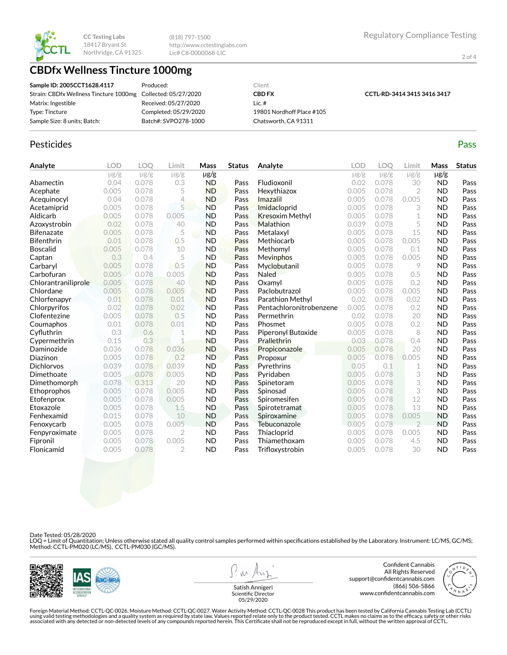

(818) 797-1500 http://www.cctestinglabs.com Lic# C8-0000068-LIC

2 of 4

## **CBDfx Wellness Tincture 1000mg**

| Sample ID: 2005CCT1628.4117                                  | Produced:             | Client                    |                             |
|--------------------------------------------------------------|-----------------------|---------------------------|-----------------------------|
| Strain: CBDfx Wellness Tincture 1000mg Collected: 05/27/2020 |                       | <b>CBD FX</b>             | CCTL-RD-3414 3415 3416 3417 |
| Matrix: Ingestible                                           | Received: 05/27/2020  | Lic. $#$                  |                             |
| Type: Tincture                                               | Completed: 05/29/2020 | 19801 Nordhoff Place #105 |                             |
| Sample Size: 8 units; Batch:                                 | Batch#: SVPO278-1000  | Chatsworth, CA 91311      |                             |

### Pesticides **Passage Contract Contract Contract Contract Contract Contract Contract Contract Contract Contract Contract Contract Contract Contract Contract Contract Contract Contract Contract Contract Contract Contract Cont**

| Analyte             | <b>LOD</b> | LOO       | Limit          | Mass      | <b>Status</b> | Analyte                 | LOD       | LOO       | Limit         | Mass      | <b>Status</b> |
|---------------------|------------|-----------|----------------|-----------|---------------|-------------------------|-----------|-----------|---------------|-----------|---------------|
|                     | $\mu$ g/g  | $\mu$ g/g | $\mu$ g/g      | $\mu$ g/g |               |                         | $\mu$ g/g | $\mu$ g/g | $\mu$ g/g     | $\mu$ g/g |               |
| Abamectin           | 0.04       | 0.078     | 0.3            | <b>ND</b> | Pass          | Fludioxonil             | 0.02      | 0.078     | 30            | <b>ND</b> | Pass          |
| Acephate            | 0.005      | 0.078     | 5              | <b>ND</b> | Pass          | Hexythiazox             | 0.005     | 0.078     | 2             | <b>ND</b> | Pass          |
| Acequinocyl         | 0.04       | 0.078     | 4              | <b>ND</b> | Pass          | Imazalil                | 0.005     | 0.078     | 0.005         | <b>ND</b> | Pass          |
| Acetamiprid         | 0.005      | 0.078     | 5              | <b>ND</b> | Pass          | Imidacloprid            | 0.005     | 0.078     | 3             | <b>ND</b> | Pass          |
| Aldicarb            | 0.005      | 0.078     | 0.005          | <b>ND</b> | Pass          | <b>Kresoxim Methyl</b>  | 0.005     | 0.078     | 1             | <b>ND</b> | Pass          |
| Azoxystrobin        | 0.02       | 0.078     | 40             | <b>ND</b> | Pass          | Malathion               | 0.039     | 0.078     | 5             | <b>ND</b> | Pass          |
| <b>Bifenazate</b>   | 0.005      | 0.078     | 5              | <b>ND</b> | Pass          | Metalaxyl               | 0.005     | 0.078     | 15            | <b>ND</b> | Pass          |
| <b>Bifenthrin</b>   | 0.01       | 0.078     | 0.5            | <b>ND</b> | Pass          | Methiocarb              | 0.005     | 0.078     | 0.005         | <b>ND</b> | Pass          |
| <b>Boscalid</b>     | 0.005      | 0.078     | 10             | <b>ND</b> | Pass          | Methomyl                | 0.005     | 0.078     | 0.1           | <b>ND</b> | Pass          |
| Captan              | 0.3        | 0.4       | 5              | <b>ND</b> | Pass          | Mevinphos               | 0.005     | 0.078     | 0.005         | <b>ND</b> | Pass          |
| Carbaryl            | 0.005      | 0.078     | 0.5            | <b>ND</b> | Pass          | Myclobutanil            | 0.005     | 0.078     | 9             | <b>ND</b> | Pass          |
| Carbofuran          | 0.005      | 0.078     | 0.005          | <b>ND</b> | Pass          | <b>Naled</b>            | 0.005     | 0.078     | 0.5           | <b>ND</b> | Pass          |
| Chlorantraniliprole | 0.005      | 0.078     | 40             | <b>ND</b> | Pass          | Oxamvl                  | 0.005     | 0.078     | 0.2           | <b>ND</b> | Pass          |
| Chlordane           | 0.005      | 0.078     | 0.005          | <b>ND</b> | Pass          | Paclobutrazol           | 0.005     | 0.078     | 0.005         | <b>ND</b> | Pass          |
| Chlorfenapyr        | 0.01       | 0.078     | 0.01           | <b>ND</b> | Pass          | Parathion Methyl        | 0.02      | 0.078     | 0.02          | <b>ND</b> | Pass          |
| Chlorpyrifos        | 0.02       | 0.078     | 0.02           | <b>ND</b> | Pass          | Pentachloronitrobenzene | 0.005     | 0.078     | 0.2           | <b>ND</b> | Pass          |
| Clofentezine        | 0.005      | 0.078     | 0.5            | <b>ND</b> | Pass          | Permethrin              | 0.02      | 0.078     | 20            | <b>ND</b> | Pass          |
| Coumaphos           | 0.01       | 0.078     | 0.01           | <b>ND</b> | Pass          | Phosmet                 | 0.005     | 0.078     | 0.2           | <b>ND</b> | Pass          |
| Cyfluthrin          | 0.3        | 0.6       | 1              | <b>ND</b> | Pass          | Piperonyl Butoxide      | 0.005     | 0.078     | 8             | <b>ND</b> | Pass          |
| Cypermethrin        | 0.15       | 0.3       | $\mathbf 1$    | <b>ND</b> | Pass          | <b>Prallethrin</b>      | 0.03      | 0.078     | 0.4           | <b>ND</b> | Pass          |
| Daminozide          | 0.036      | 0.078     | 0.036          | <b>ND</b> | Pass          | Propiconazole           | 0.005     | 0.078     | 20            | <b>ND</b> | Pass          |
| Diazinon            | 0.005      | 0.078     | 0.2            | <b>ND</b> | Pass          | Propoxur                | 0.005     | 0.078     | 0.005         | <b>ND</b> | Pass          |
| <b>Dichlorvos</b>   | 0.039      | 0.078     | 0.039          | <b>ND</b> | Pass          | Pyrethrins              | 0.05      | 0.1       | 1             | <b>ND</b> | Pass          |
| Dimethoate          | 0.005      | 0.078     | 0.005          | <b>ND</b> | Pass          | Pyridaben               | 0.005     | 0.078     | 3             | <b>ND</b> | Pass          |
| Dimethomorph        | 0.078      | 0.313     | 20             | <b>ND</b> | Pass          | Spinetoram              | 0.005     | 0.078     | 3             | <b>ND</b> | Pass          |
| Ethoprophos         | 0.005      | 0.078     | 0.005          | <b>ND</b> | Pass          | Spinosad                | 0.005     | 0.078     | 3             | <b>ND</b> | Pass          |
| Etofenprox          | 0.005      | 0.078     | 0.005          | <b>ND</b> | Pass          | Spiromesifen            | 0.005     | 0.078     | 12            | <b>ND</b> | Pass          |
| Etoxazole           | 0.005      | 0.078     | 1.5            | <b>ND</b> | Pass          | Spirotetramat           | 0.005     | 0.078     | 13            | <b>ND</b> | Pass          |
| Fenhexamid          | 0.015      | 0.078     | 10             | <b>ND</b> | Pass          | Spiroxamine             | 0.005     | 0.078     | 0.005         | <b>ND</b> | Pass          |
| Fenoxycarb          | 0.005      | 0.078     | 0.005          | <b>ND</b> | Pass          | Tebuconazole            | 0.005     | 0.078     | $\mathcal{P}$ | <b>ND</b> | Pass          |
| Fenpyroximate       | 0.005      | 0.078     | $\overline{2}$ | <b>ND</b> | Pass          | Thiacloprid             | 0.005     | 0.078     | 0.005         | <b>ND</b> | Pass          |
| Fipronil            | 0.005      | 0.078     | 0.005          | <b>ND</b> | Pass          | Thiamethoxam            | 0.005     | 0.078     | 4.5           | <b>ND</b> | Pass          |
| Flonicamid          | 0.005      | 0.078     | $\overline{2}$ | <b>ND</b> | Pass          | Trifloxystrobin         | 0.005     | 0.078     | 30            | <b>ND</b> | Pass          |

Date Tested: 05/28/2020

LOQ = Limit of Quantitation; Unless otherwise stated all quality control samples performed within specifications established by the Laboratory. Instrument: LC/MS, GC/MS;<br>Method: CCTL-PM020 (LC/MS), CCTL-PM030 (GC/MS).



**W** 

Confident Cannabis All Rights Reserved support@confidentcannabis.com (866) 506-5866 www.confidentcannabis.com



Satish Annigeri Scientific Director 05/29/2020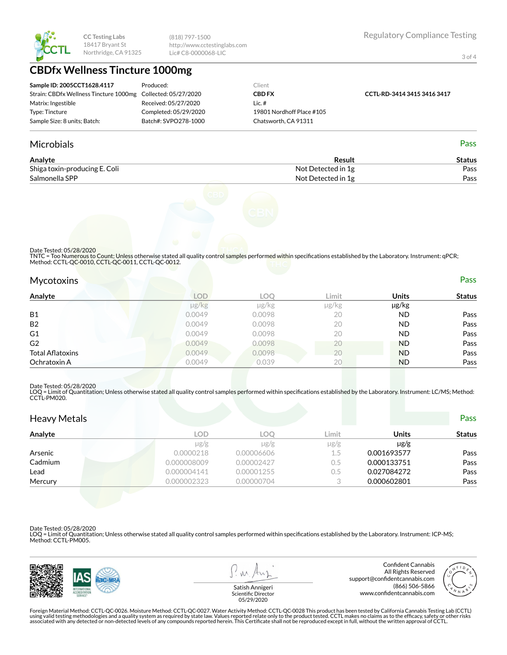

(818) 797-1500 http://www.cctestinglabs.com Lic# C8-0000068-LIC

3 of 4

# **CBDfx Wellness Tincture 1000mg**

| Sample ID: 2005CCT1628.4117                                  | Produced:             | Client                    |                             |
|--------------------------------------------------------------|-----------------------|---------------------------|-----------------------------|
| Strain: CBDfx Wellness Tincture 1000mg Collected: 05/27/2020 |                       | <b>CBD FX</b>             | CCTL-RD-3414 3415 3416 3417 |
| Matrix: Ingestible                                           | Received: 05/27/2020  | Lic.#                     |                             |
| Type: Tincture                                               | Completed: 05/29/2020 | 19801 Nordhoff Place #105 |                             |
| Sample Size: 8 units; Batch:                                 | Batch#: SVPO278-1000  | Chatsworth, CA 91311      |                             |

#### Microbials Pass

| Analyte                       | Result             | Status |
|-------------------------------|--------------------|--------|
| Shiga toxin-producing E. Coli | Not Detected in 1g | Pass   |
| Salmonella SPP                | Not Detected in 1g | Pass   |



#### Date Tested: 05/28/2020

TNTC = Too Numerous to Count; Unless otherwise stated all quality control samples performed within specifications established by the Laboratory. Instrument: qPCR;<br>Method: CCTL-QC-0010, CCTL-QC-0011, CCTL-QC-0012.

| Mycotoxins       |                 |            | _____ |              | Pass          |
|------------------|-----------------|------------|-------|--------------|---------------|
| Analyte          | <b>LOD</b>      | <b>LOO</b> | Limit | <b>Units</b> | <b>Status</b> |
|                  | $\mu$ g/ $\log$ | µg/kg      | µg/kg | µg/kg        |               |
| <b>B1</b>        | 0.0049          | 0.0098     | 20    | <b>ND</b>    | Pass          |
| <b>B2</b>        | 0.0049          | 0.0098     | 20    | <b>ND</b>    | Pass          |
| G1               | 0.0049          | 0.0098     | 20    | <b>ND</b>    | Pass          |
| G2               | 0.0049          | 0.0098     | 20    | <b>ND</b>    | Pass          |
| Total Aflatoxins | 0.0049          | 0.0098     | 20    | <b>ND</b>    | Pass          |
| Ochratoxin A     | 0.0049          | 0.039      | 20    | <b>ND</b>    | Pass          |
|                  |                 |            |       |              |               |

#### Date Tested: 05/28/2020

LOQ = Limit of Quantitation; Unless otherwise stated all quality control samples performed within specifications established by the Laboratory. Instrument: LC/MS; Method:<br>CCTL-PM020.

| <b>Heavy Metals</b> |             |            |           |              | <b>Pass</b>   |
|---------------------|-------------|------------|-----------|--------------|---------------|
| Analyte             | <b>LOD</b>  | LOO        | Limit     | <b>Units</b> | <b>Status</b> |
|                     | $\mu$ g/g   | $\mu$ g/g  | $\mu$ g/g | $\mu$ g/g    |               |
| Arsenic             | 0.0000218   | 0.00006606 | $1.5\,$   | 0.001693577  | Pass          |
| Cadmium             | 0.000008009 | 0.00002427 | 0.5       | 0.000133751  | Pass          |
| Lead                | 0.000004141 | 0.00001255 | 0.5       | 0.027084272  | Pass          |
| Mercury             | 0.000002323 | 0.00000704 |           | 0.000602801  | Pass          |

Date Tested: 05/28/2020

LOQ = Limit of Quantitation; Unless otherwise stated all quality control samples performed within specifications established by the Laboratory. Instrument: ICP-MS; Method: CCTL-PM005.



 $\lambda \lambda$ 

Confident Cannabis All Rights Reserved support@confidentcannabis.com (866) 506-5866 www.confidentcannabis.com



Satish Annigeri Scientific Director 05/29/2020